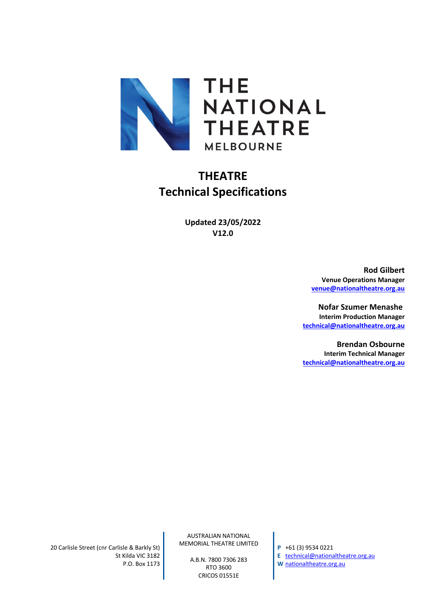

# **THEATRE Technical Specifications**

**Updated 23/05/2022 V12.0**

> **Rod Gilbert Venue Operations Manager venue@nationaltheatre.org.au**

**Nofar Szumer Menashe Interim Production Manager technical@nationaltheatre.org.au**

**Brendan Osbourne Interim Technical Manager technical@nationaltheatre.org.au**

20 Carlisle Street (cnr Carlisle & Barkly St) St Kilda VIC 3182 P.O. Box 1173

AUSTRALIAN NATIONAL MEMORIAL THEATRE LIMITED

> A.B.N. 7800 7306 283 RTO 3600 CRICOS 01551E

**P** +61 (3) 9534 0221 **E** technical@nationaltheatre.org.au **W** nationaltheatre.org.au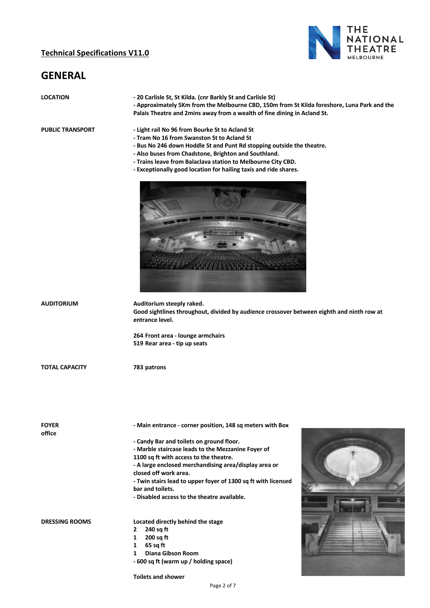#### **Technical Specifications V11.0**



# **GENERAL**

# **LOCATION - 20 Carlisle St, St Kilda. (cnr Barkly St and Carlisle St) - Approximately 5Km from the Melbourne CBD, 150m from St Kilda foreshore, Luna Park and the Palais Theatre and 2mins away from a wealth of fine dining in Acland St. PUBLIC TRANSPORT - Light rail No 96 from Bourke St to Acland St - Tram No 16 from Swanston St to Acland St - Bus No 246 down Hoddle St and Punt Rd stopping outside the theatre. - Also buses from Chadstone, Brighton and Southland. - Trains leave from Balaclava station to Melbourne City CBD. - Exceptionally good location for hailing taxis and ride shares. AUDITORIUM Auditorium steeply raked. Good sightlines throughout, divided by audience crossover between eighth and ninth row at entrance level. 264 Front area - lounge armchairs 519 Rear area - tip up seats TOTAL CAPACITY 783 patrons FOYER - Main entrance - corner position, 148 sq meters with Box office - Candy Bar and toilets on ground floor. - Marble staircase leads to the Mezzanine Foyer of 1100 sq ft with access to the theatre. - A large enclosed merchandising area/display area or closed off work area. - Twin stairs lead to upper foyer of 1300 sq ft with licensed bar and toilets. - Disabled access to the theatre available. DRESSING ROOMS Located directly behind the stage 2 240 sq ft 1 200 sq ft 1 65 sq ft 1 Diana Gibson Room**

**Toilets and shower**

**- 600 sq ft (warm up / holding space)**

Page 2 of 7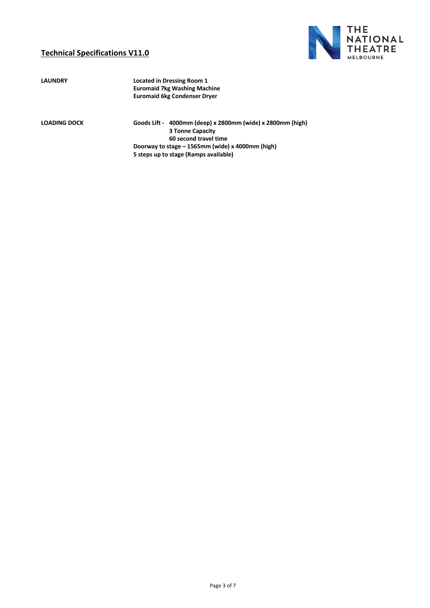#### **Technical Specifications V11.0**



**LAUNDRY Located in Dressing Room 1 Euromaid 7kg Washing Machine Euromaid 6kg Condenser Dryer**

**LOADING DOCK Goods Lift - 4000mm (deep) x 2800mm (wide) x 2800mm (high) 3 Tonne Capacity 60 second travel time Doorway to stage – 1565mm (wide) x 4000mm (high) 5 steps up to stage (Ramps available)**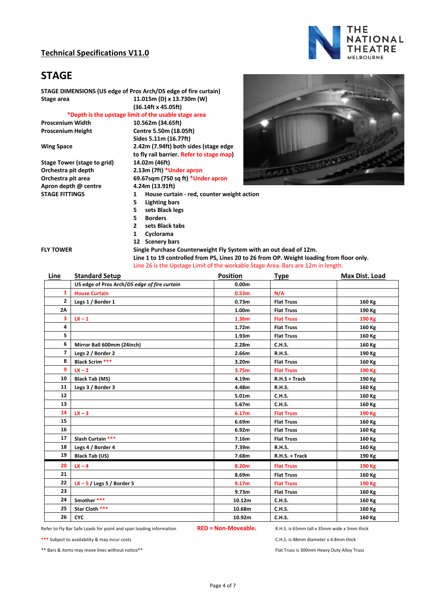#### **Technical Specifications V11.0**



### **STAGE**

**STAGE DIMENSIONS (US edge of Pros Arch/DS edge of fire curtain) Stage area 11.015m (D) x 13.730m (W)**

**(36.14ft x 45.05ft)**

#### **\*Depth is the upstage limit of the usable stage area**

**Stage Tower (stage to grid) Orchestra pit depth 2.13m (7ft) \*Under apron Apron depth @ centre 4.24m (13.91ft)**

**Proscenium Width 10.562m (34.65ft) Proscenium Height Centre 5.50m (18.05ft) Sides 5.11m (16.77ft) Wing Space 2.42m (7.94ft) both sides (stage edge to fly rail barrier. Refer to stage map) Orchestra pit area 69.67sqm (750 sq ft) \*Under apron STAGE FITTINGS 1 House curtain - red, counter weight action 5 Lighting bars 5 sets Black legs 5 Borders 2 sets Black tabs 1 Cyclorama**

**12 Scenery bars**



|  | <b>FLY TOWER</b> |  |
|--|------------------|--|
|  |                  |  |

**Single Purchase Counterweight Fly System with an out dead of 12m. Line 1 to 19 controlled from PS, Lines 20 to 26 from OP. Weight loading from floor only.** Line 26 is the Upstage Limit of the workable Stage Area. Bars are 12m in length.

| Line           | <b>Standard Setup</b>                        | <b>Position</b>   | <b>Type</b>       | Max Dist. Load |
|----------------|----------------------------------------------|-------------------|-------------------|----------------|
|                | US edge of Pros Arch/DS edge of fire curtain | 0.00 <sub>m</sub> |                   |                |
| 1              | <b>House Curtain</b>                         | 0.53 <sub>m</sub> | N/A               |                |
| $\overline{2}$ | Legs 1 / Border 1                            | 0.73 <sub>m</sub> | <b>Flat Truss</b> | 160 Kg         |
| 2A             |                                              | 1.00 <sub>m</sub> | <b>Flat Truss</b> | 190 Kg         |
| 3              | $IX - 1$                                     | 1.36m             | <b>Flat Truss</b> | 190 Kg         |
| 4              |                                              | 1.72 <sub>m</sub> | <b>Flat Truss</b> | 160 Kg         |
| 5              |                                              | 1.93m             | <b>Flat Truss</b> | 160 Kg         |
| 6              | Mirror Ball 600mm (24inch)                   | 2.28m             | C.H.S.            | 160 Kg         |
| 7              | Legs 2 / Border 2                            | 2.66m             | <b>R.H.S.</b>     | 190 Kg         |
| 8              | <b>Black Scrim ***</b>                       | 3.20 <sub>m</sub> | <b>Flat Truss</b> | 160 Kg         |
| 9              | $IX - 2$                                     | 3.75 <sub>m</sub> | <b>Flat Truss</b> | 190 Kg         |
| 10             | <b>Black Tab (MS)</b>                        | 4.19m             | $R.H.S + Track$   | 190 Kg         |
| 11             | Legs 3 / Border 3                            | 4.48m             | <b>R.H.S.</b>     | 160 Kg         |
| 12             |                                              | 5.01m             | C.H.S.            | 160 Kg         |
| 13             |                                              | 5.67 <sub>m</sub> | C.H.S.            | 160 Kg         |
| 14             | $IX - 3$                                     | 6.17m             | <b>Flat Truss</b> | 190 Kg         |
| 15             |                                              | 6.69m             | <b>Flat Truss</b> | 160 Kg         |
| 16             |                                              | 6.92m             | <b>Flat Truss</b> | 160 Kg         |
| 17             | Slash Curtain ***                            | 7.16m             | <b>Flat Truss</b> | 160 Kg         |
| 18             | Legs 4 / Border 4                            | 7.39m             | <b>R.H.S.</b>     | 160 Kg         |
| 19             | <b>Black Tab (US)</b>                        | 7.68m             | R.H.S. + Track    | 190 Kg         |
| 20             | $LX - 4$                                     | 8.20m             | <b>Flat Truss</b> | 190 Kg         |
| 21             |                                              | 8.69m             | <b>Flat Truss</b> | 160 Kg         |
| 22             | $IX - 5$ / Legs 5 / Border 5                 | 9.17 <sub>m</sub> | <b>Flat Truss</b> | 190 Kg         |
| 23             |                                              | 9.73m             | <b>Flat Truss</b> | 160 Kg         |
| 24             | Smother ***                                  | 10.12m            | C.H.S.            | 160 Kg         |
| 25             | Star Cloth ***                               | 10.68m            | C.H.S.            | 160 Kg         |
| 26             | <b>CYC</b>                                   | 10.92m            | <b>C.H.S.</b>     | 160 Kg         |

Refer to Fly Bar Safe Loads for point and span loading information **RED = Non-Moveable.** R.H.S. is 65mm tall x 35mm wide x 3mm thick

**\*\*\*** Subject to availability & may incur costs C.H.S. is 48mm diameter x 4.8mm thick

\*\* Bars & items may move lines without notice\*\* Flat Truss is 300mm Heavy Duty Alloy Truss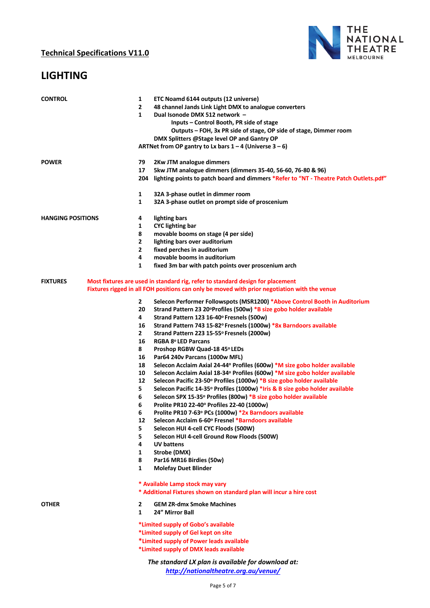### **LIGHTING**



| <b>CONTROL</b>           | 1<br>$\mathbf{2}$ | ETC Noamd 6144 outputs (12 universe)<br>48 channel Jands Link Light DMX to analogue converters               |
|--------------------------|-------------------|--------------------------------------------------------------------------------------------------------------|
|                          | 1                 | Dual Isonode DMX 512 network -                                                                               |
|                          |                   | Inputs – Control Booth, PR side of stage                                                                     |
|                          |                   | Outputs - FOH, 3x PR side of stage, OP side of stage, Dimmer room                                            |
|                          |                   | DMX Splitters @Stage level OP and Gantry OP                                                                  |
|                          |                   | ARTNet from OP gantry to Lx bars $1 - 4$ (Universe $3 - 6$ )                                                 |
| <b>POWER</b>             | 79                | 2Kw JTM analogue dimmers                                                                                     |
|                          | 17                | 5kw JTM analogue dimmers (dimmers 35-40, 56-60, 76-80 & 96)                                                  |
|                          |                   | 204 lighting points to patch board and dimmers *Refer to "NT - Theatre Patch Outlets.pdf"                    |
|                          | 1                 | 32A 3-phase outlet in dimmer room                                                                            |
|                          | 1                 | 32A 3-phase outlet on prompt side of proscenium                                                              |
| <b>HANGING POSITIONS</b> | 4                 | lighting bars                                                                                                |
|                          | 1                 | <b>CYC</b> lighting bar                                                                                      |
|                          | 8                 | movable booms on stage (4 per side)                                                                          |
|                          | 2                 | lighting bars over auditorium                                                                                |
|                          | 2                 | fixed perches in auditorium                                                                                  |
|                          | 4                 | movable booms in auditorium                                                                                  |
|                          | 1                 | fixed 3m bar with patch points over proscenium arch                                                          |
| <b>FIXTURES</b>          |                   | Most fixtures are used in standard rig, refer to standard design for placement                               |
|                          |                   | Fixtures rigged in all FOH positions can only be moved with prior negotiation with the venue                 |
|                          | $\mathbf{2}$      | Selecon Performer Followspots (MSR1200) *Above Control Booth in Auditorium                                   |
|                          | 20                | Strand Pattern 23 20°Profiles (500w) *B size gobo holder available                                           |
|                          | 4                 | Strand Pattern 123 16-40° Fresnels (500w)                                                                    |
|                          | 16                | Strand Pattern 743 15-82° Fresnels (1000w) *8x Barndoors available                                           |
|                          | $\mathbf{2}$      | Strand Pattern 223 15-55° Fresnels (2000w)                                                                   |
|                          | 16                | RGBA 8º LED Parcans                                                                                          |
|                          | 8                 | Proshop RGBW Quad-18 45° LEDs                                                                                |
|                          | 16                | Par64 240v Parcans (1000w MFL)                                                                               |
|                          | 18                | Selecon Acclaim Axial 24-44° Profiles (600w) *M size gobo holder available                                   |
|                          | 10                | Selecon Acclaim Axial 18-34° Profiles (600w) *M size gobo holder available                                   |
|                          | 12                | Selecon Pacific 23-50° Profiles (1000w) *B size gobo holder available                                        |
|                          | 5                 | Selecon Pacific 14-35° Profiles (1000w) *Iris & B size gobo holder available                                 |
|                          | 6                 | Selecon SPX 15-35° Profiles (800w) *B size gobo holder available                                             |
|                          | 6                 | Prolite PR10 22-40° Profiles 22-40 (1000w)                                                                   |
|                          | 6<br>12           | Prolite PR10 7-63° PCs (1000w) *2x Barndoors available<br>Selecon Acclaim 6-60° Fresnel *Barndoors available |
|                          | 5                 | Selecon HUI 4-cell CYC Floods (500W)                                                                         |
|                          | 5                 | Selecon HUI 4-cell Ground Row Floods (500W)                                                                  |
|                          | 4                 | <b>UV battens</b>                                                                                            |
|                          | 1                 | Strobe (DMX)                                                                                                 |
|                          | 8                 | Par16 MR16 Birdies (50w)                                                                                     |
|                          | 1                 | <b>Molefay Duet Blinder</b>                                                                                  |
|                          |                   | * Available Lamp stock may vary                                                                              |
|                          |                   | * Additional Fixtures shown on standard plan will incur a hire cost                                          |
| <b>OTHER</b>             | 2                 | <b>GEM ZR-dmx Smoke Machines</b>                                                                             |
|                          | $\mathbf{1}$      | 24" Mirror Ball                                                                                              |
|                          |                   | *Limited supply of Gobo's available                                                                          |
|                          |                   | *Limited supply of Gel kept on site                                                                          |
|                          |                   | *Limited supply of Power leads available<br>*Limited supply of DMX leads available                           |
|                          |                   | The standard LX plan is available for download at:                                                           |
|                          |                   | http://nationaltheatre.org.au/venue/                                                                         |
|                          |                   |                                                                                                              |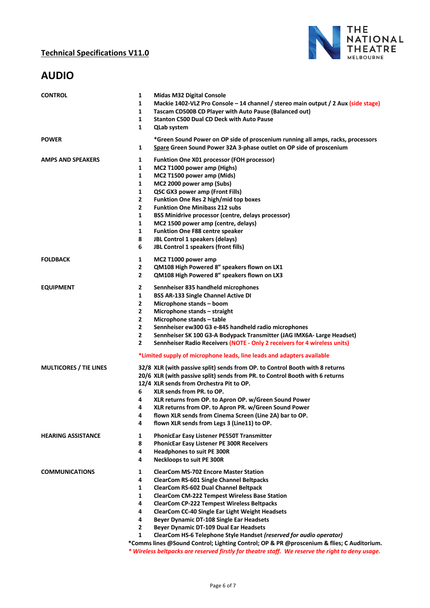

## **AUDIO**

| <b>CONTROL</b>                | 1<br><b>Midas M32 Digital Console</b><br>1<br>Mackie 1402-VLZ Pro Console - 14 channel / stereo main output / 2 Aux (side stage)<br>1<br>Tascam CD500B CD Player with Auto Pause (Balanced out)<br>1<br><b>Stanton C500 Dual CD Deck with Auto Pause</b><br>1<br><b>QLab system</b>                                                                                                                                                                                                                                                                                                                                                                                                                                                          |
|-------------------------------|----------------------------------------------------------------------------------------------------------------------------------------------------------------------------------------------------------------------------------------------------------------------------------------------------------------------------------------------------------------------------------------------------------------------------------------------------------------------------------------------------------------------------------------------------------------------------------------------------------------------------------------------------------------------------------------------------------------------------------------------|
| <b>POWER</b>                  | *Green Sound Power on OP side of proscenium running all amps, racks, processors<br>Spare Green Sound Power 32A 3-phase outlet on OP side of proscenium<br>1                                                                                                                                                                                                                                                                                                                                                                                                                                                                                                                                                                                  |
| <b>AMPS AND SPEAKERS</b>      | $\mathbf{1}$<br><b>Funktion One X01 processor (FOH processor)</b><br>$\mathbf{1}$<br>MC2 T1000 power amp (Highs)<br>$\mathbf{1}$<br>MC2 T1500 power amp (Mids)<br>$\mathbf{1}$<br>MC2 2000 power amp (Subs)<br>$\mathbf{1}$<br>QSC GX3 power amp (Front Fills)<br>$\mathbf{2}$<br>Funktion One Res 2 high/mid top boxes                                                                                                                                                                                                                                                                                                                                                                                                                      |
|                               | $\mathbf{2}$<br><b>Funktion One Minibass 212 subs</b><br>$\mathbf{1}$<br><b>BSS Minidrive processor (centre, delays processor)</b><br>1<br>MC2 1500 power amp (centre, delays)<br>1<br><b>Funktion One F88 centre speaker</b><br>8<br>JBL Control 1 speakers (delays)<br>6<br>JBL Control 1 speakers (front fills)                                                                                                                                                                                                                                                                                                                                                                                                                           |
| <b>FOLDBACK</b>               | 1<br>MC2 T1000 power amp<br>$\mathbf{2}$<br>QM108 High Powered 8" speakers flown on LX1<br>QM108 High Powered 8" speakers flown on LX3<br>$\overline{2}$                                                                                                                                                                                                                                                                                                                                                                                                                                                                                                                                                                                     |
| <b>EQUIPMENT</b>              | $\mathbf{2}$<br>Sennheiser 835 handheld microphones<br>1<br><b>BSS AR-133 Single Channel Active DI</b><br>$\mathbf{2}$<br>Microphone stands - boom<br>$\mathbf{2}$<br>Microphone stands - straight<br>$\mathbf{2}$<br>Microphone stands - table<br>$\mathbf{2}$<br>Sennheiser ew300 G3 e-845 handheld radio microphones<br>$\mathbf{2}$<br>Sennheiser SK 100 G3-A Bodypack Transmitter (JAG IMX6A- Large Headset)<br>$\mathbf{2}$<br>Sennheiser Radio Receivers (NOTE - Only 2 receivers for 4 wireless units)<br>*Limited supply of microphone leads, line leads and adapters available                                                                                                                                                     |
| <b>MULTICORES / TIE LINES</b> | 32/8 XLR (with passive split) sends from OP. to Control Booth with 8 returns<br>20/6 XLR (with passive split) sends from PR. to Control Booth with 6 returns<br>12/4 XLR sends from Orchestra Pit to OP.<br>6<br><b>XLR sends from PR. to OP.</b><br>XLR returns from OP. to Apron OP. w/Green Sound Power<br>4<br>XLR returns from OP. to Apron PR. w/Green Sound Power<br>4<br>flown XLR sends from Cinema Screen (Line 2A) bar to OP.<br>4<br>4<br>flown XLR sends from Legs 3 (Line11) to OP.                                                                                                                                                                                                                                            |
| <b>HEARING ASSISTANCE</b>     | $\mathbf{1}$<br>PhonicEar Easy Listener PE550T Transmitter<br>8<br><b>PhonicEar Easy Listener PE 300R Receivers</b><br>4<br><b>Headphones to suit PE 300R</b><br>Neckloops to suit PE 300R<br>4                                                                                                                                                                                                                                                                                                                                                                                                                                                                                                                                              |
| <b>COMMUNICATIONS</b>         | <b>ClearCom MS-702 Encore Master Station</b><br>1<br>4<br><b>ClearCom RS-601 Single Channel Beltpacks</b><br><b>ClearCom RS-602 Dual Channel Beltpack</b><br>1<br>1<br><b>ClearCom CM-222 Tempest Wireless Base Station</b><br>4<br><b>ClearCom CP-222 Tempest Wireless Beltpacks</b><br>ClearCom CC-40 Single Ear Light Weight Headsets<br>4<br>4<br><b>Beyer Dynamic DT-108 Single Ear Headsets</b><br>$\mathbf{2}$<br>Beyer Dynamic DT-109 Dual Ear Headsets<br>1<br>ClearCom HS-6 Telephone Style Handset (reserved for audio operator)<br>*Comms lines @Sound Control; Lighting Control; OP & PR @proscenium & flies; C Auditorium.<br>* Wireless beltpacks are reserved firstly for theatre staff. We reserve the right to deny usage. |